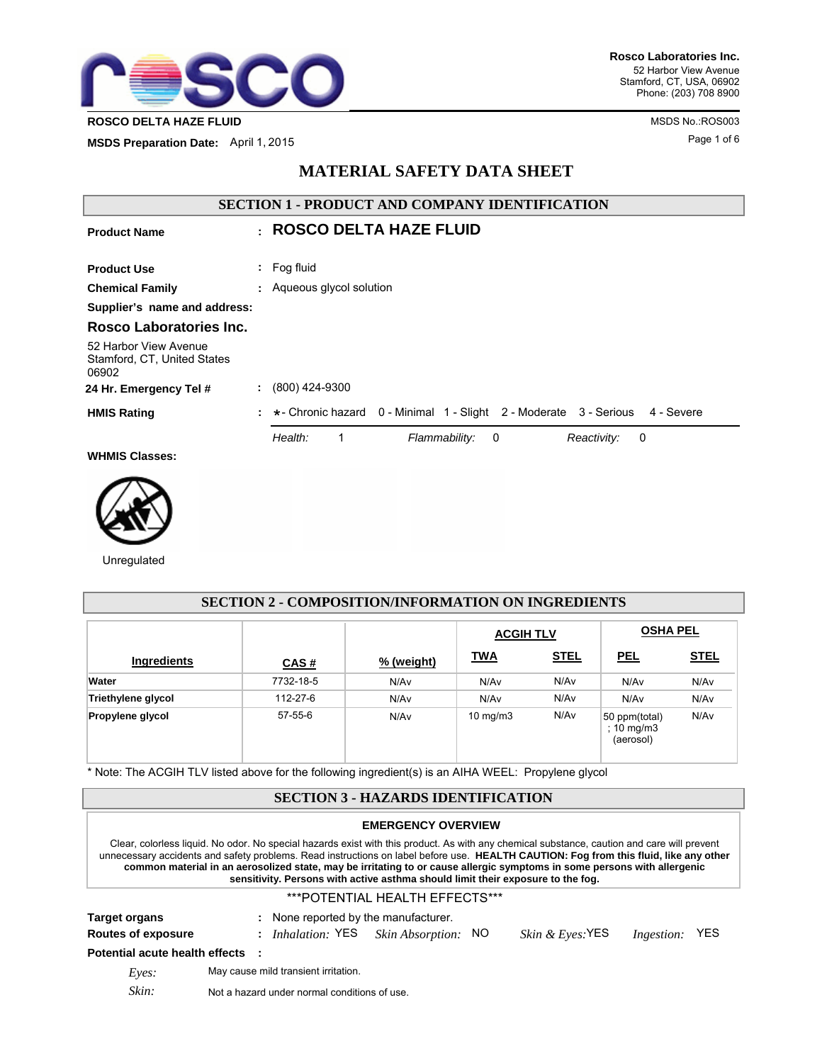

**MSDS Preparation Date:** April 1, 2015

| <b>SECTION 1 - PRODUCT AND COMPANY IDENTIFICATION</b>         |  |                                                                                               |  |
|---------------------------------------------------------------|--|-----------------------------------------------------------------------------------------------|--|
| <b>Product Name</b>                                           |  | $\cdot$ ROSCO DELTA HAZE FLUID                                                                |  |
| <b>Product Use</b>                                            |  | $:$ Fog fluid                                                                                 |  |
| <b>Chemical Family</b>                                        |  | : Aqueous glycol solution                                                                     |  |
| Supplier's name and address:                                  |  |                                                                                               |  |
| Rosco Laboratories Inc.                                       |  |                                                                                               |  |
| 52 Harbor View Avenue<br>Stamford, CT, United States<br>06902 |  |                                                                                               |  |
| 24 Hr. Emergency Tel #                                        |  | (800) 424-9300                                                                                |  |
| <b>HMIS Rating</b>                                            |  | $\div$ $\star$ - Chronic hazard 0 - Minimal 1 - Slight 2 - Moderate 3 - Serious<br>4 - Severe |  |
|                                                               |  | Health:<br>Flammability:<br>1<br>$\overline{\mathbf{0}}$<br>Reactivity:<br>0                  |  |
| <b>WHMIS Classes:</b>                                         |  |                                                                                               |  |
|                                                               |  |                                                                                               |  |

**MATERIAL SAFETY DATA SHEET**



Unregulated

| <b>SECTION 2 - COMPOSITION/INFORMATION ON INGREDIENTS</b> |           |            |                  |             |                                          |                  |  |
|-----------------------------------------------------------|-----------|------------|------------------|-------------|------------------------------------------|------------------|--|
|                                                           |           |            | <b>ACGIH TLV</b> |             |                                          | <b>OSHA PEL</b>  |  |
| Ingredients                                               | CAS#      | % (weight) | <u>TWA</u>       | <b>STEL</b> | <b>PEL</b>                               | <b>STEL</b>      |  |
| Water                                                     | 7732-18-5 | N/Av       | N/A <sub>v</sub> | N/Av        | N/Av                                     | N/A <sub>v</sub> |  |
| Triethylene glycol                                        | 112-27-6  | N/Av       | N/A <sub>v</sub> | N/Av        | N/A <sub>v</sub>                         | N/Av             |  |
| Propylene glycol                                          | 57-55-6   | N/Av       | 10 $mg/m3$       | N/Av        | 50 ppm(total)<br>; 10 mg/m3<br>(aerosol) | N/Av             |  |

\* Note: The ACGIH TLV listed above for the following ingredient(s) is an AIHA WEEL: Propylene glycol

# **SECTION 3 - HAZARDS IDENTIFICATION**

#### **EMERGENCY OVERVIEW**

Clear, colorless liquid. No odor. No special hazards exist with this product. As with any chemical substance, caution and care will prevent unnecessary accidents and safety problems. Read instructions on label before use. **HEALTH CAUTION: Fog from this fluid, like any other common material in an aerosolized state, may be irritating to or cause allergic symptoms in some persons with allergenic sensitivity. Persons with active asthma should limit their exposure to the fog.**

#### \*\*\*POTENTIAL HEALTH EFFECTS\*\*\*

| <b>Target organs</b>             |  | None reported by the manufacturer.   |                            |                             |                   |     |
|----------------------------------|--|--------------------------------------|----------------------------|-----------------------------|-------------------|-----|
| Routes of exposure               |  | : Inhalation: YES                    | <i>Skin Absorption:</i> NO | <i>Skin &amp; Eyes</i> :YES | <i>Ingestion:</i> | YES |
| Potential acute health effects : |  |                                      |                            |                             |                   |     |
| Eves:                            |  | May cause mild transient irritation. |                            |                             |                   |     |

*Skin:* Not a hazard under normal conditions of use.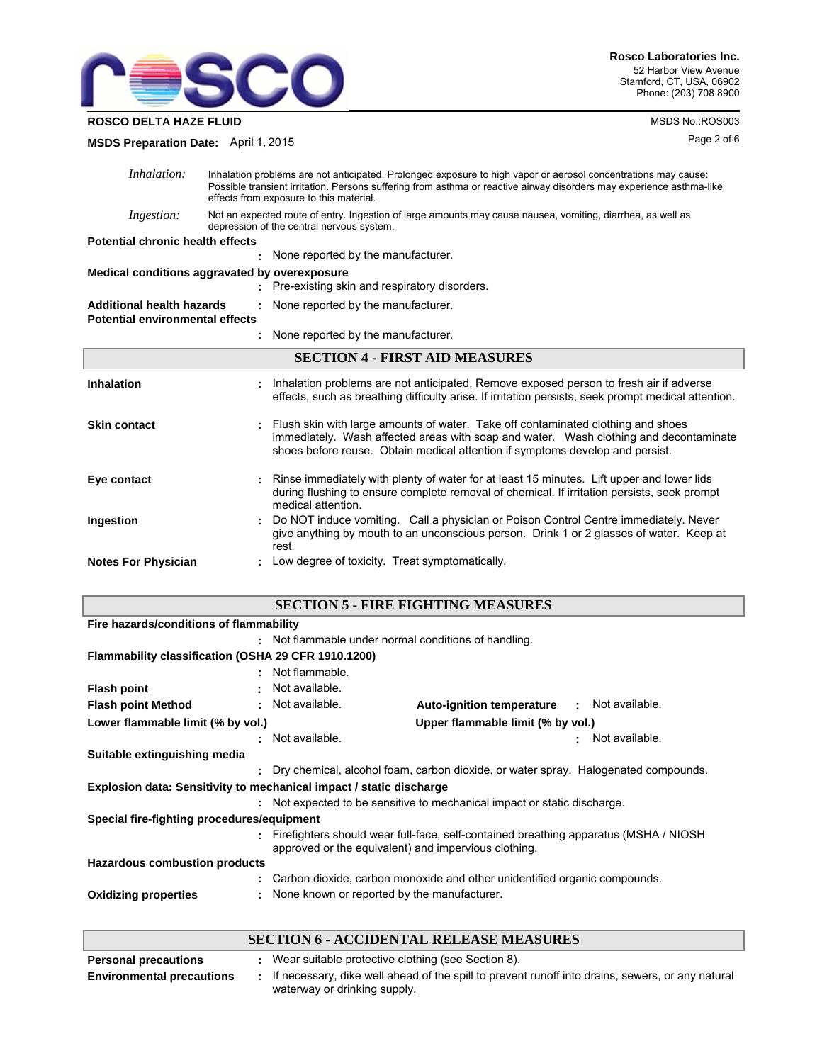

**ROSCO DELTA HAZE FLUID MSDS No.:ROS003** 

**MSDS Preparation Date:** April 1, 2015

| <i>Inhalation:</i>                                           | Inhalation problems are not anticipated. Prolonged exposure to high vapor or aerosol concentrations may cause:<br>Possible transient irritation. Persons suffering from asthma or reactive airway disorders may experience asthma-like<br>effects from exposure to this material. |  |  |
|--------------------------------------------------------------|-----------------------------------------------------------------------------------------------------------------------------------------------------------------------------------------------------------------------------------------------------------------------------------|--|--|
| Ingestion:                                                   | Not an expected route of entry. Ingestion of large amounts may cause nausea, vomiting, diarrhea, as well as<br>depression of the central nervous system.                                                                                                                          |  |  |
| Potential chronic health effects                             |                                                                                                                                                                                                                                                                                   |  |  |
|                                                              | None reported by the manufacturer.                                                                                                                                                                                                                                                |  |  |
|                                                              | Medical conditions aggravated by overexposure                                                                                                                                                                                                                                     |  |  |
|                                                              | : Pre-existing skin and respiratory disorders.                                                                                                                                                                                                                                    |  |  |
| Additional health hazards<br>Potential environmental effects | : None reported by the manufacturer.                                                                                                                                                                                                                                              |  |  |
|                                                              | : None reported by the manufacturer.                                                                                                                                                                                                                                              |  |  |
|                                                              | <b>SECTION 4 - FIRST AID MEASURES</b>                                                                                                                                                                                                                                             |  |  |
| Inhalation                                                   | Inhalation problems are not anticipated. Remove exposed person to fresh air if adverse<br>effects, such as breathing difficulty arise. If irritation persists, seek prompt medical attention.                                                                                     |  |  |
| Skin contact                                                 | Flush skin with large amounts of water. Take off contaminated clothing and shoes<br>immediately. Wash affected areas with soap and water. Wash clothing and decontaminate<br>shoes before reuse. Obtain medical attention if symptoms develop and persist.                        |  |  |
| Eye contact                                                  | Rinse immediately with plenty of water for at least 15 minutes. Lift upper and lower lids<br>during flushing to ensure complete removal of chemical. If irritation persists, seek prompt                                                                                          |  |  |

|                            | medical attention.                                                                               |
|----------------------------|--------------------------------------------------------------------------------------------------|
| <b>Ingestion</b>           | : Do NOT induce vomiting. Call a physician or Poison Control Centre immediately. Never           |
|                            | give anything by mouth to an unconscious person. Drink 1 or 2 glasses of water. Keep at<br>rest. |
| <b>Notes For Physician</b> | Low degree of toxicity. Treat symptomatically.                                                   |

# **SECTION 5 - FIRE FIGHTING MEASURES**

| Fire hazards/conditions of flammability                                    |    |                                                      |                                                                                      |                      |
|----------------------------------------------------------------------------|----|------------------------------------------------------|--------------------------------------------------------------------------------------|----------------------|
|                                                                            |    | : Not flammable under normal conditions of handling. |                                                                                      |                      |
| Flammability classification (OSHA 29 CFR 1910.1200)                        |    |                                                      |                                                                                      |                      |
|                                                                            |    | : Not flammable.                                     |                                                                                      |                      |
| <b>Flash point</b>                                                         |    | Not available.                                       |                                                                                      |                      |
| <b>Flash point Method</b>                                                  |    | : Not available.                                     | <b>Auto-ignition temperature</b>                                                     | Not available.<br>÷. |
| Lower flammable limit (% by vol.)<br>Upper flammable limit (% by vol.)     |    |                                                      |                                                                                      |                      |
|                                                                            |    | : Not available.                                     |                                                                                      | Not available.       |
| Suitable extinguishing media                                               |    |                                                      |                                                                                      |                      |
|                                                                            | ÷. |                                                      | Dry chemical, alcohol foam, carbon dioxide, or water spray. Halogenated compounds.   |                      |
| <b>Explosion data: Sensitivity to mechanical impact / static discharge</b> |    |                                                      |                                                                                      |                      |
|                                                                            |    |                                                      | : Not expected to be sensitive to mechanical impact or static discharge.             |                      |
| Special fire-fighting procedures/equipment                                 |    |                                                      |                                                                                      |                      |
|                                                                            |    | approved or the equivalent) and impervious clothing. | Firefighters should wear full-face, self-contained breathing apparatus (MSHA / NIOSH |                      |
| Hazardous combustion products                                              |    |                                                      |                                                                                      |                      |
|                                                                            |    |                                                      | Carbon dioxide, carbon monoxide and other unidentified organic compounds.            |                      |
| <b>Oxidizing properties</b>                                                |    | None known or reported by the manufacturer.          |                                                                                      |                      |

#### **SECTION 6 - ACCIDENTAL RELEASE MEASURES Personal precautions :** Wear suitable protective clothing (see Section 8). If necessary, dike well ahead of the spill to prevent runoff into drains, sewers, or any natural waterway or drinking supply. **Environmental precautions :**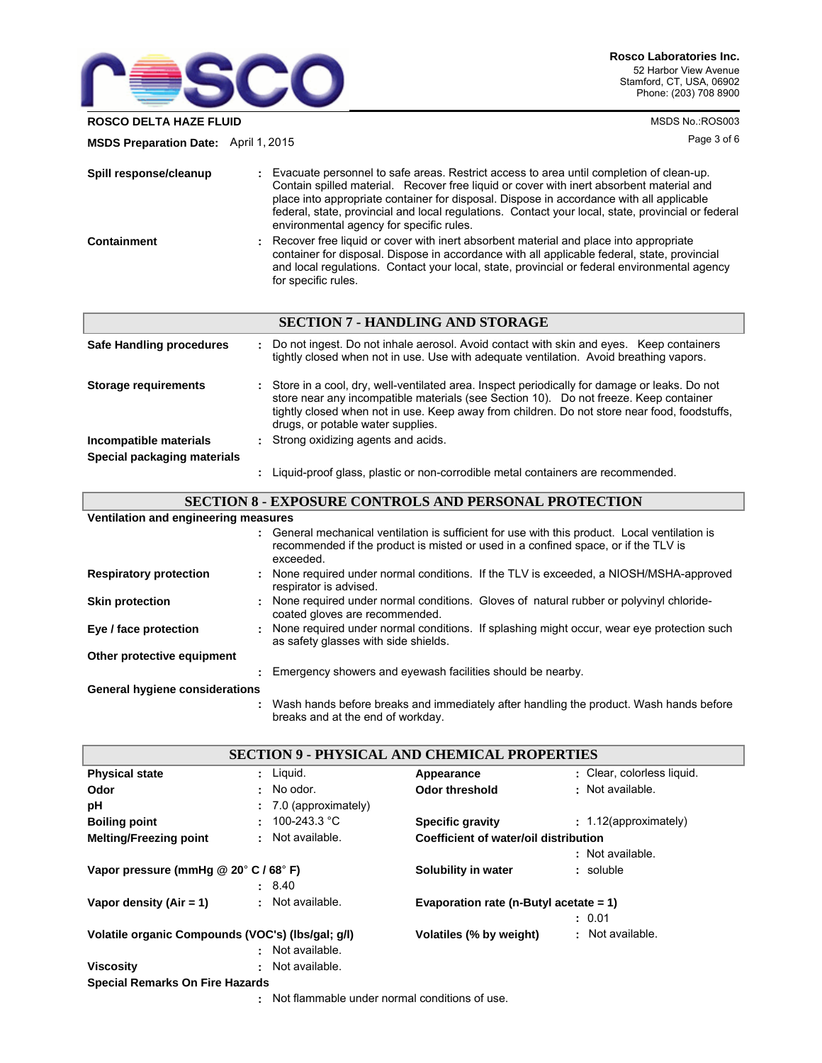

**ROSCO DELTA HAZE FLUID MSDS No.:ROS003** 

**MSDS Preparation Date:** April 1, 2015

| Spill response/cleanup | : Evacuate personnel to safe areas. Restrict access to area until completion of clean-up.<br>Contain spilled material. Recover free liquid or cover with inert absorbent material and<br>place into appropriate container for disposal. Dispose in accordance with all applicable<br>federal, state, provincial and local regulations. Contact your local, state, provincial or federal<br>environmental agency for specific rules. |
|------------------------|-------------------------------------------------------------------------------------------------------------------------------------------------------------------------------------------------------------------------------------------------------------------------------------------------------------------------------------------------------------------------------------------------------------------------------------|
| Containment            | : Recover free liquid or cover with inert absorbent material and place into appropriate<br>container for disposal. Dispose in accordance with all applicable federal, state, provincial<br>and local regulations. Contact your local, state, provincial or federal environmental agency<br>for specific rules.                                                                                                                      |

|                             | <b>SECTION 7 - HANDLING AND STORAGE</b>                                                                                                                                                                                                                                                                                      |
|-----------------------------|------------------------------------------------------------------------------------------------------------------------------------------------------------------------------------------------------------------------------------------------------------------------------------------------------------------------------|
| Safe Handling procedures    | : Do not ingest. Do not inhale aerosol. Avoid contact with skin and eyes. Keep containers<br>tightly closed when not in use. Use with adequate ventilation. Avoid breathing vapors.                                                                                                                                          |
| <b>Storage requirements</b> | : Store in a cool, dry, well-ventilated area. Inspect periodically for damage or leaks. Do not<br>store near any incompatible materials (see Section 10). Do not freeze. Keep container<br>tightly closed when not in use. Keep away from children. Do not store near food, foodstuffs,<br>drugs, or potable water supplies. |
| Incompatible materials      | : Strong oxidizing agents and acids.                                                                                                                                                                                                                                                                                         |
| Special packaging materials |                                                                                                                                                                                                                                                                                                                              |
|                             | Liquid-proof glass, plastic or non-corrodible metal containers are recommended.                                                                                                                                                                                                                                              |

# **SECTION 8 - EXPOSURE CONTROLS AND PERSONAL PROTECTION**

| Ventilation and engineering measures |                                                                                                                                                                                                   |  |
|--------------------------------------|---------------------------------------------------------------------------------------------------------------------------------------------------------------------------------------------------|--|
|                                      | : General mechanical ventilation is sufficient for use with this product. Local ventilation is<br>recommended if the product is misted or used in a confined space, or if the TLV is<br>exceeded. |  |
| <b>Respiratory protection</b>        | : None required under normal conditions. If the TLV is exceeded, a NIOSH/MSHA-approved<br>respirator is advised.                                                                                  |  |
| <b>Skin protection</b>               | : None required under normal conditions. Gloves of natural rubber or polyvinyl chloride-<br>coated gloves are recommended.                                                                        |  |
| Eye / face protection                | : None required under normal conditions. If splashing might occur, wear eye protection such<br>as safety glasses with side shields.                                                               |  |
| Other protective equipment           |                                                                                                                                                                                                   |  |
|                                      | : Emergency showers and eyewash facilities should be nearby.                                                                                                                                      |  |
| General hygiene considerations       |                                                                                                                                                                                                   |  |
|                                      | Wash hands before breaks and immediately after handling the product. Wash hands before<br>breaks and at the end of workday.                                                                       |  |

|                                                   |                                                                    | <b>SECTION 9 - PHYSICAL AND CHEMICAL PROPERTIES</b> |                            |  |
|---------------------------------------------------|--------------------------------------------------------------------|-----------------------------------------------------|----------------------------|--|
| <b>Physical state</b>                             | $:$ Liquid.                                                        | Appearance                                          | : Clear, colorless liquid. |  |
| Odor                                              | $:$ No odor.                                                       | Odor threshold                                      | : Not available.           |  |
| рH                                                | $\div$ 7.0 (approximately)                                         |                                                     |                            |  |
| <b>Boiling point</b>                              | : $100 - 243.3$ °C                                                 | <b>Specific gravity</b>                             | $: 1.12$ (approximately)   |  |
| : Not available.<br><b>Melting/Freezing point</b> |                                                                    | Coefficient of water/oil distribution               |                            |  |
|                                                   |                                                                    |                                                     | : Not available.           |  |
| Vapor pressure (mmHg @ 20° C / 68° F)             |                                                                    | Solubility in water                                 | : soluble                  |  |
|                                                   | : 8.40                                                             |                                                     |                            |  |
| Vapor density $(Air = 1)$                         | : Not available.                                                   | Evaporation rate (n-Butyl acetate $= 1$ )           |                            |  |
|                                                   |                                                                    |                                                     | : 0.01                     |  |
| Volatile organic Compounds (VOC's) (Ibs/gal; g/l) |                                                                    | Volatiles (% by weight)                             | : Not available.           |  |
|                                                   | : Not available.                                                   |                                                     |                            |  |
| <b>Viscosity</b>                                  | : Not available.                                                   |                                                     |                            |  |
| <b>Special Remarks On Fire Hazards</b>            |                                                                    |                                                     |                            |  |
|                                                   | المحبب فالمستحي والتقام ومحاملته والمستحدث والمالم ومحمودها فالملط |                                                     |                            |  |

Not flammable under normal conditions of use. **:**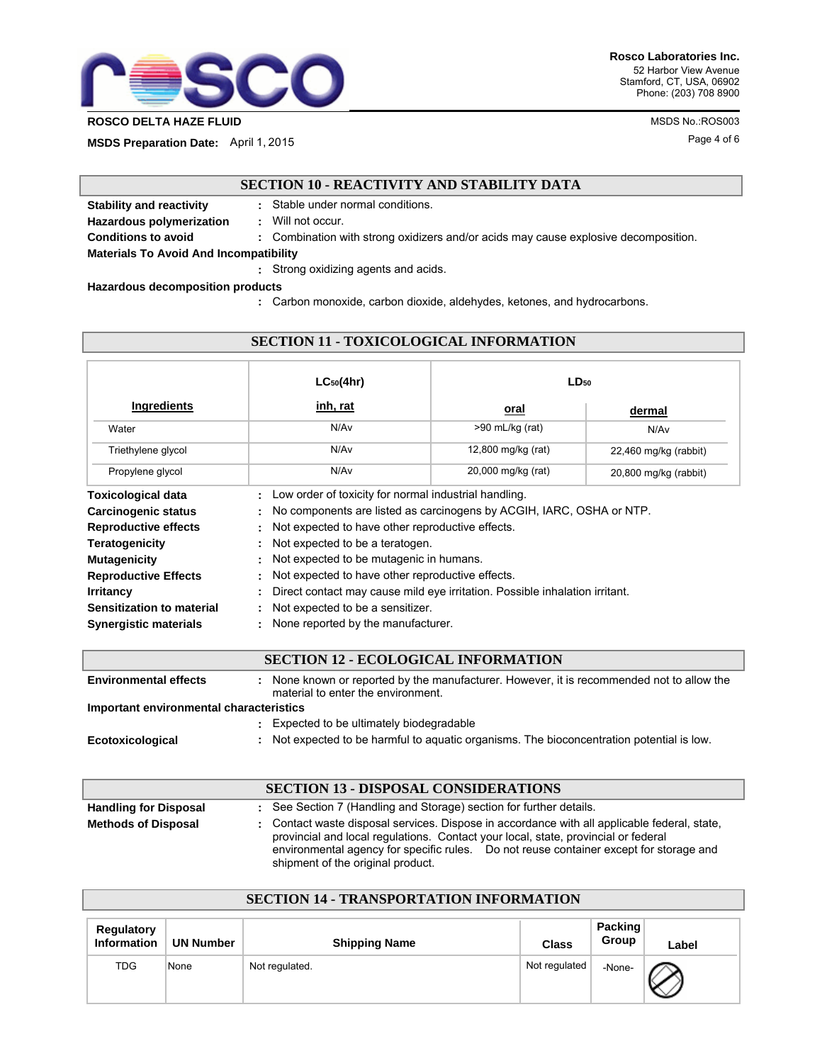

**ROSCO DELTA HAZE FLUID MSDS No.:ROS003** 

**MSDS Preparation Date:** April 1, 2015

# **SECTION 10 - REACTIVITY AND STABILITY DATA**

**Stability and reactivity :** Stable under normal conditions. **Hazardous polymerization :** Will not occur. **Conditions to avoid :** Combination with strong oxidizers and/or acids may cause explosive decomposition. Strong oxidizing agents and acids. **: Materials To Avoid And Incompatibility** 

**Hazardous decomposition products**

**:** Carbon monoxide, carbon dioxide, aldehydes, ketones, and hydrocarbons.

|                              | $LC_{50}(4hr)$                                                              | $LD_{50}$          |                       |
|------------------------------|-----------------------------------------------------------------------------|--------------------|-----------------------|
| <b>Ingredients</b>           | inh, rat                                                                    | oral               | dermal                |
| Water                        | N/Av                                                                        | >90 mL/kg (rat)    | N/Av                  |
| Triethylene glycol           | N/Av                                                                        | 12,800 mg/kg (rat) | 22,460 mg/kg (rabbit) |
| Propylene glycol             | N/A <sub>v</sub>                                                            | 20,000 mg/kg (rat) | 20,800 mg/kg (rabbit) |
| <b>Toxicological data</b>    | Low order of toxicity for normal industrial handling.                       |                    |                       |
| Carcinogenic status          | No components are listed as carcinogens by ACGIH, IARC, OSHA or NTP.        |                    |                       |
| <b>Reproductive effects</b>  | Not expected to have other reproductive effects.                            |                    |                       |
| <b>Teratogenicity</b>        | Not expected to be a teratogen.                                             |                    |                       |
| <b>Mutagenicity</b>          | Not expected to be mutagenic in humans.                                     |                    |                       |
| <b>Reproductive Effects</b>  | Not expected to have other reproductive effects.                            |                    |                       |
| <b>Irritancy</b>             | Direct contact may cause mild eye irritation. Possible inhalation irritant. |                    |                       |
| Sensitization to material    | Not expected to be a sensitizer.                                            |                    |                       |
| <b>Synergistic materials</b> | None reported by the manufacturer.                                          |                    |                       |

**SECTION 11 - TOXICOLOGICAL INFORMATION**

## **SECTION 12 - ECOLOGICAL INFORMATION** : None known or reported by the manufacturer. However, it is recommended not to allow the material to enter the environment. **Environmental effects : Important environmental characteristics :** Expected to be ultimately biodegradable **Ecotoxicological :** Not expected to be harmful to aquatic organisms. The bioconcentration potential is low.

|                              | <b>SECTION 13 - DISPOSAL CONSIDERATIONS</b>                                                                                                                                                                                                                                                                       |
|------------------------------|-------------------------------------------------------------------------------------------------------------------------------------------------------------------------------------------------------------------------------------------------------------------------------------------------------------------|
| <b>Handling for Disposal</b> | : See Section 7 (Handling and Storage) section for further details.                                                                                                                                                                                                                                               |
| <b>Methods of Disposal</b>   | : Contact waste disposal services. Dispose in accordance with all applicable federal, state,<br>provincial and local regulations. Contact your local, state, provincial or federal<br>environmental agency for specific rules. Do not reuse container except for storage and<br>shipment of the original product. |

| Regulatory<br><b>Information</b> | <b>UN Number</b> | <b>Shipping Name</b> | <b>Class</b>  | Packing<br>Group | Label |
|----------------------------------|------------------|----------------------|---------------|------------------|-------|
| <b>TDG</b>                       | None             | Not regulated.       | Not regulated | -None-           |       |

**SECTION 14 - TRANSPORTATION INFORMATION**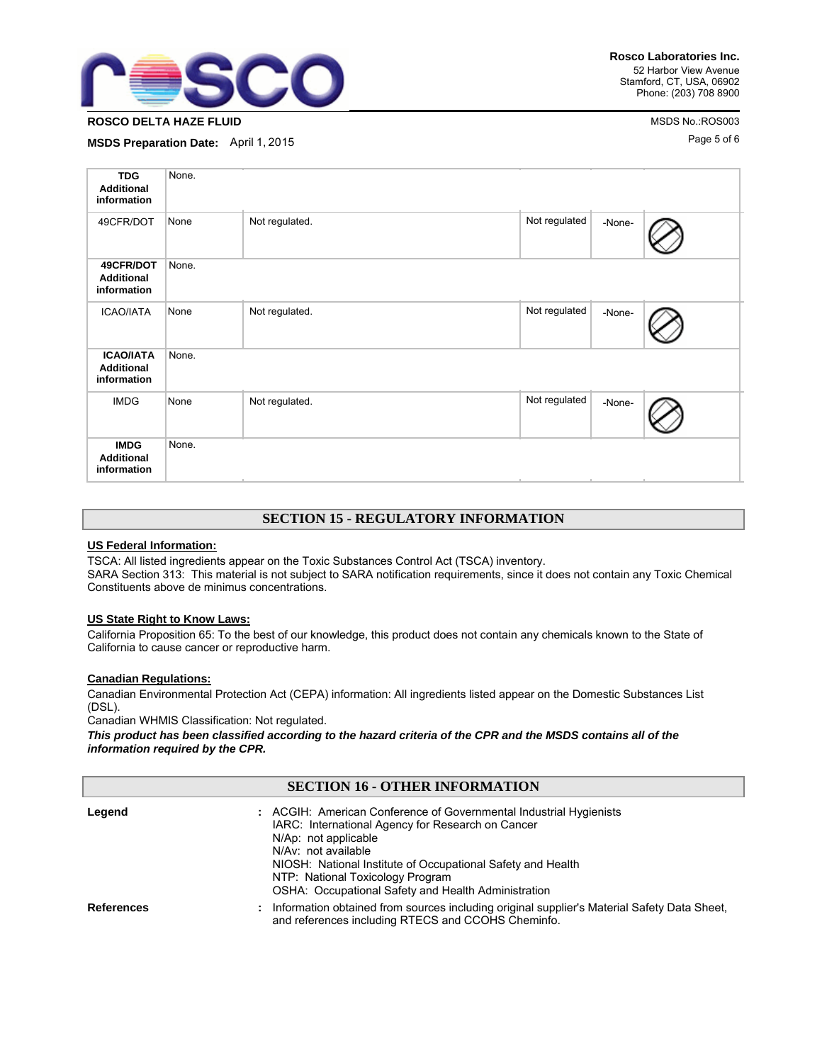

# **ROSCO DELTA HAZE FLUID** MSDS No.:ROS003

**MSDS Preparation Date:** April 1, 2015

| <b>TDG</b><br><b>Additional</b><br>information       | None. |                |               |        |  |
|------------------------------------------------------|-------|----------------|---------------|--------|--|
| 49CFR/DOT                                            | None  | Not regulated. | Not regulated | -None- |  |
| 49CFR/DOT<br><b>Additional</b><br>information        | None. |                |               |        |  |
| <b>ICAO/IATA</b>                                     | None  | Not regulated. | Not regulated | -None- |  |
| <b>ICAO/IATA</b><br><b>Additional</b><br>information | None. |                |               |        |  |
| <b>IMDG</b>                                          | None  | Not regulated. | Not regulated | -None- |  |
| <b>IMDG</b><br><b>Additional</b><br>information      | None. |                |               |        |  |

# **SECTION 15 - REGULATORY INFORMATION**

#### **US Federal Information:**

TSCA: All listed ingredients appear on the Toxic Substances Control Act (TSCA) inventory. SARA Section 313: This material is not subject to SARA notification requirements, since it does not contain any Toxic Chemical Constituents above de minimus concentrations.

#### **US State Right to Know Laws:**

California Proposition 65: To the best of our knowledge, this product does not contain any chemicals known to the State of California to cause cancer or reproductive harm.

#### **Canadian Regulations:**

Canadian Environmental Protection Act (CEPA) information: All ingredients listed appear on the Domestic Substances List (DSL).

Canadian WHMIS Classification: Not regulated.

*This product has been classified according to the hazard criteria of the CPR and the MSDS contains all of the information required by the CPR.*

| SECTION 16 - OTHER INFORMATION |                                                                                                                                                                                                                                                                                                                                  |  |  |  |
|--------------------------------|----------------------------------------------------------------------------------------------------------------------------------------------------------------------------------------------------------------------------------------------------------------------------------------------------------------------------------|--|--|--|
| Legend                         | : ACGIH: American Conference of Governmental Industrial Hygienists<br>IARC: International Agency for Research on Cancer<br>N/Ap: not applicable<br>N/Av: not available<br>NIOSH: National Institute of Occupational Safety and Health<br>NTP: National Toxicology Program<br>OSHA: Occupational Safety and Health Administration |  |  |  |
| <b>References</b>              | : Information obtained from sources including original supplier's Material Safety Data Sheet.<br>and references including RTECS and CCOHS Cheminfo.                                                                                                                                                                              |  |  |  |

**SECTION 16 - OTHER INFORMATION**